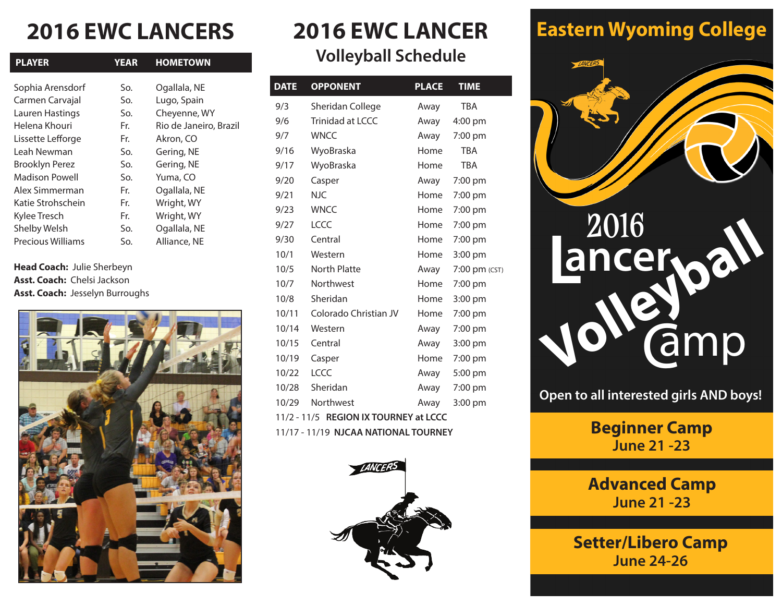## **2016 EWC LANCERS 2016 EWC LANCER**

| <b>YEAR</b> | <b>HOMETOWN</b>        |
|-------------|------------------------|
| So.         | Ogallala, NE           |
| So.         | Lugo, Spain            |
| So.         | Cheyenne, WY           |
| Fr.         | Rio de Janeiro, Brazil |
| Fr.         | Akron, CO              |
| So.         | Gering, NE             |
| So.         | Gering, NE             |
| So.         | Yuma, CO               |
| Fr.         | Ogallala, NE           |
| Fr.         | Wright, WY             |
| Fr.         | Wright, WY             |
| So.         | Ogallala, NE           |
| So.         | Alliance, NE           |
|             |                        |

**Head Coach:** Julie Sherbeyn **Asst. Coach:** Chelsi Jackson **Asst. Coach:** Jesselyn Burroughs



# **Volleyball Schedule**

| <b>DATE</b> | <b>OPPONENT</b>                                | <b>PLACE</b> | <b>TIME</b>   |
|-------------|------------------------------------------------|--------------|---------------|
| 9/3         | Sheridan College                               | Away         | <b>TBA</b>    |
| 9/6         | Trinidad at LCCC                               | Away         | 4:00 pm       |
| 9/7         | <b>WNCC</b>                                    | Away         | 7:00 pm       |
| 9/16        | WyoBraska                                      | Home         | <b>TRA</b>    |
| 9/17        | WyoBraska                                      | Home         | <b>TBA</b>    |
| 9/20        | Casper                                         | Away         | 7:00 pm       |
| 9/21        | <b>NJC</b>                                     | Home         | 7:00 pm       |
| 9/23        | <b>WNCC</b>                                    | Home         | 7:00 pm       |
| 9/27        | LCCC                                           | Home         | 7:00 pm       |
| 9/30        | Central                                        | Home         | 7:00 pm       |
| 10/1        | Western                                        | Home         | 3:00 pm       |
| 10/5        | <b>North Platte</b>                            | Away         | 7:00 pm (CST) |
| 10/7        | Northwest                                      | Home         | 7:00 pm       |
| 10/8        | Sheridan                                       | Home         | 3:00 pm       |
| 10/11       | Colorado Christian JV                          | Home         | 7:00 pm       |
| 10/14       | Western                                        | Away         | 7:00 pm       |
| 10/15       | Central                                        | Away         | 3:00 pm       |
| 10/19       | Casper                                         | Home         | 7:00 pm       |
| 10/22       | <b>LCCC</b>                                    | Away         | 5:00 pm       |
| 10/28       | Sheridan                                       | Away         | 7:00 pm       |
| 10/29       | Northwest                                      | Away         | 3:00 pm       |
|             | 11/2 11/ $\epsilon$ DECION IV TOUDNEY at LCCC. |              |               |

11/2 - 11/5 **REGION IX TOURNEY at LCCC**

11/17 - 11/19 **NJCAA NATIONAL TOURNEY**



### **Eastern Wyoming College**



**Open to all interested girls AND boys!**

**Beginner Camp June 21 -23**

**Advanced Camp June 21 -23**

**Setter/Libero Camp June 24-26**